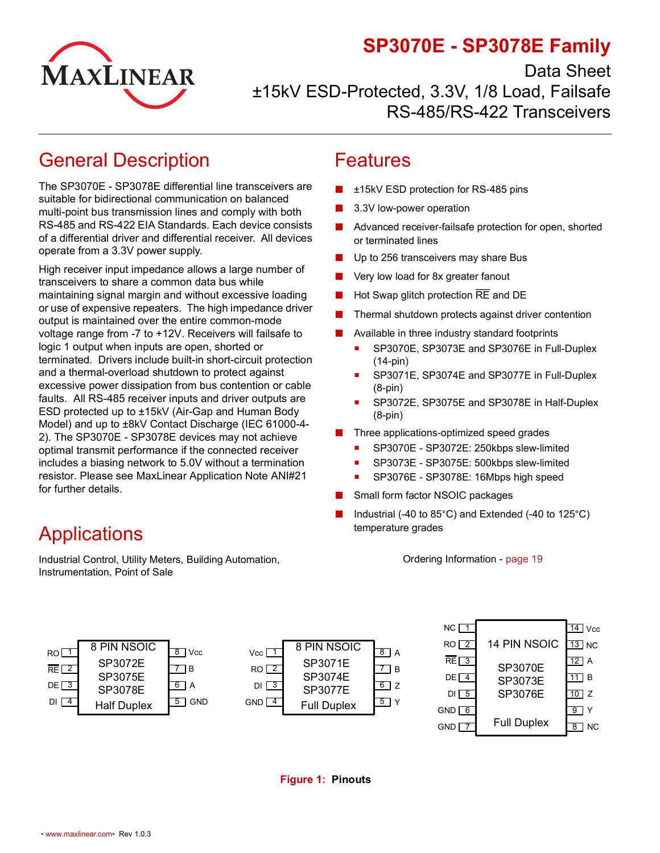

# **SP3070E - SP3078E Family**

Data Sheet

±15kV ESD-Protected, 3.3V, 1/8 Load, Failsafe RS-485/RS-422 Transceivers

# <span id="page-0-0"></span>General Description

The SP3070E - SP3078E differential line transceivers are suitable for bidirectional communication on balanced multi-point bus transmission lines and comply with both RS-485 and RS-422 EIA Standards. Each device consists of a differential driver and differential receiver. All devices operate from a 3.3V power supply.

High receiver input impedance allows a large number of transceivers to share a common data bus while maintaining signal margin and without excessive loading or use of expensive repeaters. The high impedance driver output is maintained over the entire common-mode voltage range from -7 to +12V. Receivers will failsafe to logic 1 output when inputs are open, shorted or terminated. Drivers include built-in short-circuit protection and a thermal-overload shutdown to protect against excessive power dissipation from bus contention or cable faults. All RS-485 receiver inputs and driver outputs are ESD protected up to ±15kV (Air-Gap and Human Body Model) and up to ±8kV Contact Discharge (IEC 61000-4- 2). The SP3070E - SP3078E devices may not achieve optimal transmit performance if the connected receiver includes a biasing network to 5.0V without a termination resistor. Please see MaxLinear Application Note ANI#21 for further details.

### Features

- ±15kV ESD protection for RS-485 pins
- 3.3V low-power operation
- Advanced receiver-failsafe protection for open, shorted or terminated lines
- Up to 256 transceivers may share Bus
- Very low load for 8x greater fanout
- Hot Swap glitch protection  $\overline{RE}$  and DE
- Thermal shutdown protects against driver contention
- Available in three industry standard footprints
	- **SP3070E, SP3073E and SP3076E in Full-Duplex** (14-pin)
	- SP3071E, SP3074E and SP3077E in Full-Duplex (8-pin)
	- SP3072E, SP3075E and SP3078E in Half-Duplex (8-pin)
- Three applications-optimized speed grades
	- **SP3070E SP3072E: 250kbps slew-limited**
	- SP3073E SP3075E: 500kbps slew-limited
	- SP3076E SP3078E: 16Mbps high speed
- Small form factor NSOIC packages
- Industrial (-40 to  $85^{\circ}$ C) and Extended (-40 to  $125^{\circ}$ C) temperature grades

Ordering Information - [page](#page-24-0) 19

<span id="page-0-1"></span>

|                 |                    |                             |                    |                    |       | NC.                  |                    | 14<br>Vcc         |
|-----------------|--------------------|-----------------------------|--------------------|--------------------|-------|----------------------|--------------------|-------------------|
| RO              | 8 PIN NSOIC        | <b>Vcc</b><br>8             | Vcc I              | 8 PIN NSOIC        | 8   A | RO <sub>2</sub>      | 14 PIN NSOIC       | $13$ NC           |
| RE <sup>2</sup> | SP3072E            | l B                         | RO <sub>2</sub>    | SP3071E            | IB.   | RE <sub>13</sub>     | <b>SP3070E</b>     | $12$ A            |
| DE <sup>3</sup> | SP3075E            | 6<br>ΙA                     | $DI$ $3$           | SP3074E            | 6Z    | $DE \sqrt{4}$        | SP3073E            | 71 B              |
|                 | SP3078E            |                             |                    | SP3077E            |       | $DI \, \overline{5}$ | SP3076E            | $\overline{10}$ z |
| DI $\sqrt{4}$   | <b>Half Duplex</b> | <b>GND</b><br>$\mathcal{D}$ | $GND$ <sup>4</sup> | <b>Full Duplex</b> | 5 I Y | $GND \n\overline{6}$ |                    | $9$ Y             |
|                 |                    |                             |                    |                    |       | <b>GND</b>           | <b>Full Duplex</b> | $8$ NC            |

#### **Figure 1: Pinouts**

# **Applications**

Industrial Control, Utility Meters, Building Automation, Instrumentation, Point of Sale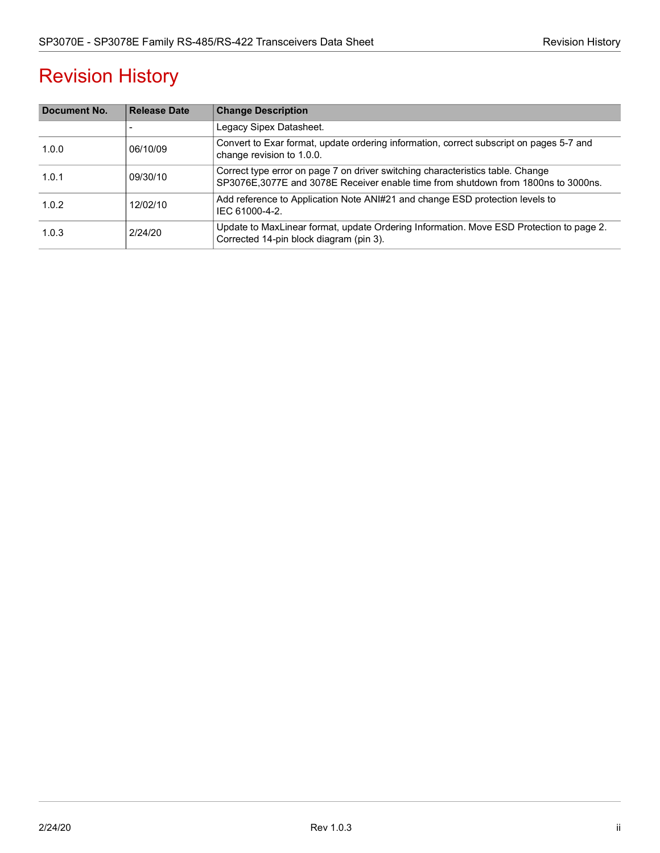# Revision History

| Document No. | <b>Release Date</b> | <b>Change Description</b>                                                                                                                                           |
|--------------|---------------------|---------------------------------------------------------------------------------------------------------------------------------------------------------------------|
|              |                     | Legacy Sipex Datasheet.                                                                                                                                             |
| 1.0.0        | 06/10/09            | Convert to Exar format, update ordering information, correct subscript on pages 5-7 and<br>change revision to 1.0.0.                                                |
| 1.0.1        | 09/30/10            | Correct type error on page 7 on driver switching characteristics table. Change<br>SP3076E,3077E and 3078E Receiver enable time from shutdown from 1800ns to 3000ns. |
| 1.0.2        | 12/02/10            | Add reference to Application Note ANI#21 and change ESD protection levels to<br>IEC 61000-4-2.                                                                      |
| 1.0.3        | 2/24/20             | Update to MaxLinear format, update Ordering Information. Move ESD Protection to page 2.<br>Corrected 14-pin block diagram (pin 3).                                  |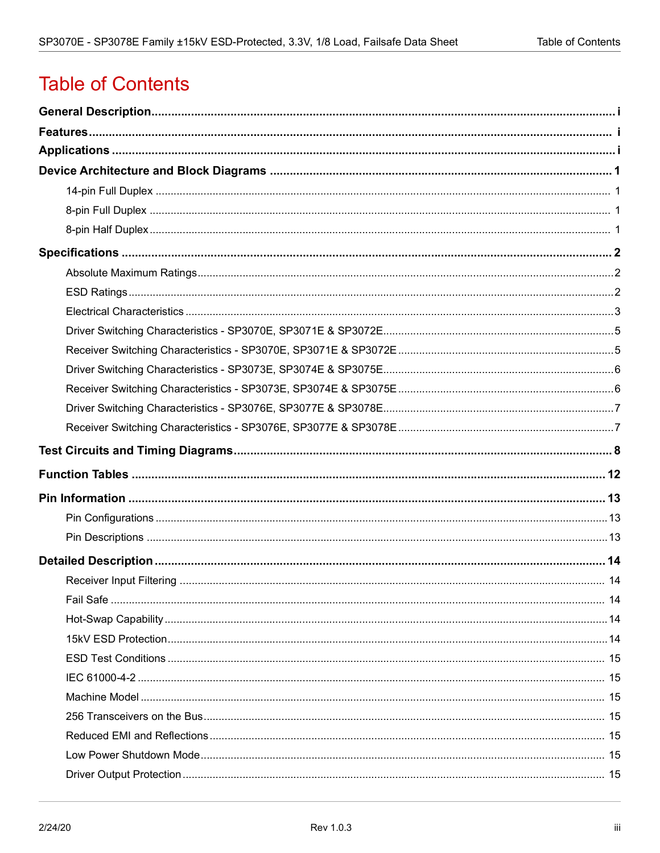# **Table of Contents**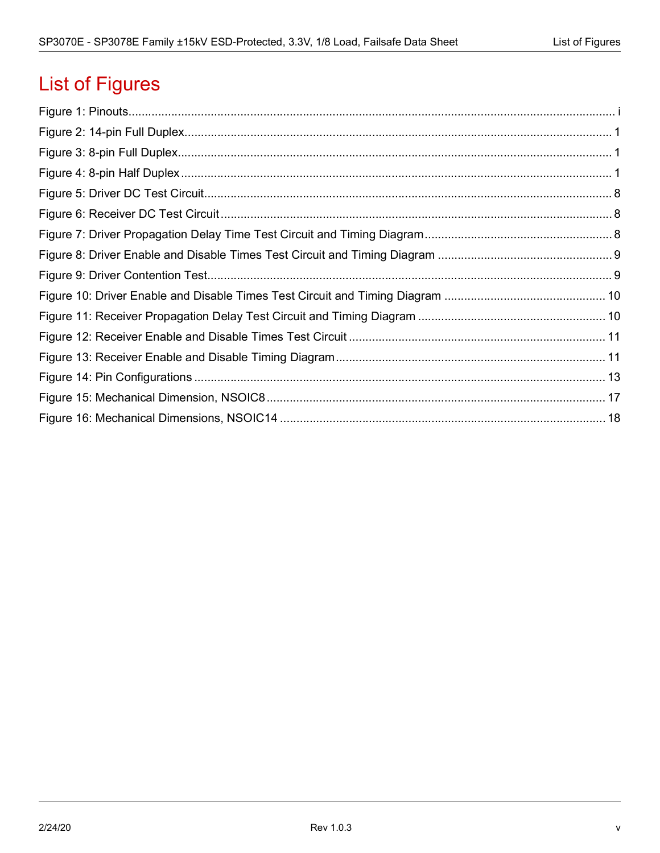# List of Figures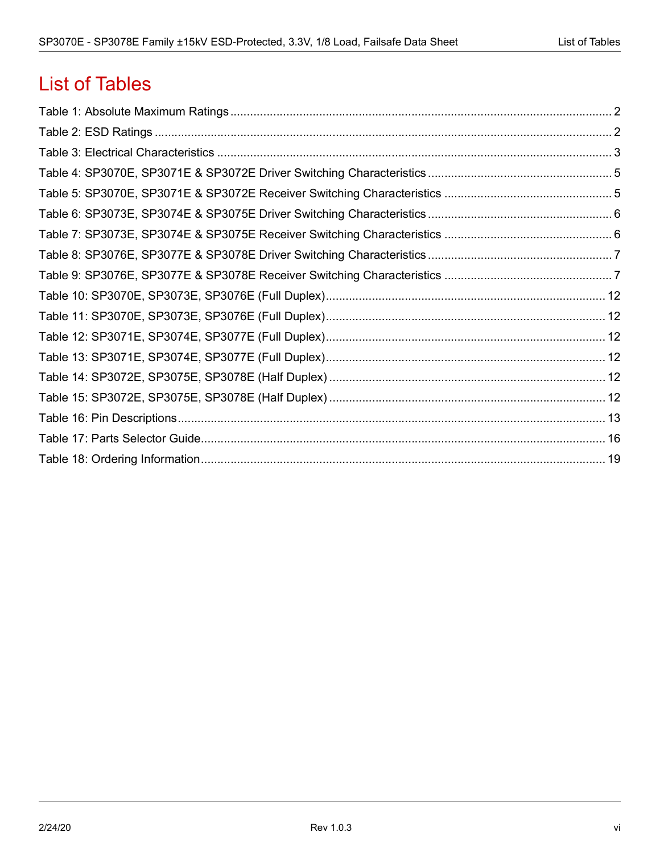# List of Tables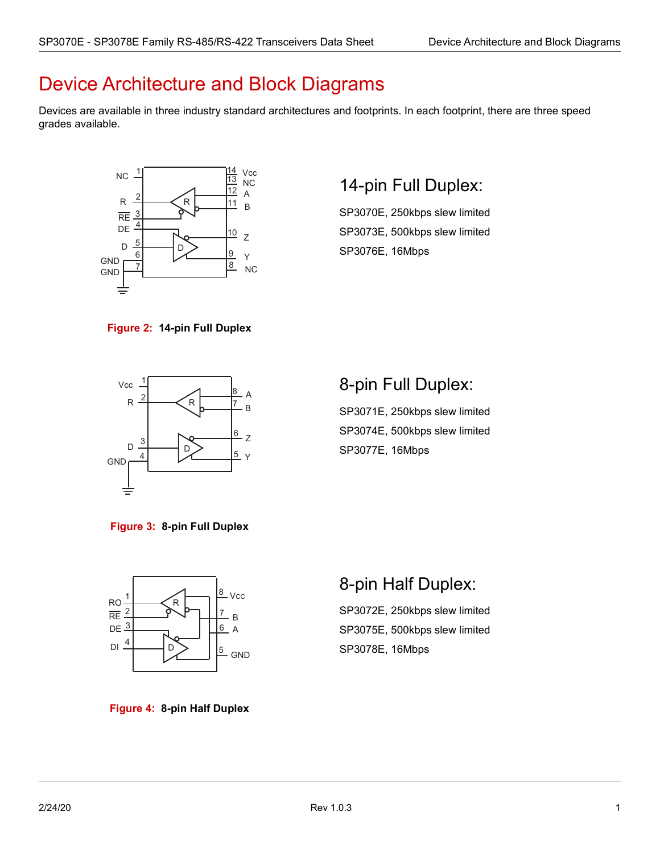# <span id="page-6-0"></span>Device Architecture and Block Diagrams

Devices are available in three industry standard architectures and footprints. In each footprint, there are three speed grades available.



## <span id="page-6-1"></span>14-pin Full Duplex:

SP3070E, 250kbps slew limited SP3073E, 500kbps slew limited SP3076E, 16Mbps

<span id="page-6-4"></span>



## <span id="page-6-2"></span>8-pin Full Duplex:

SP3071E, 250kbps slew limited SP3074E, 500kbps slew limited SP3077E, 16Mbps

<span id="page-6-5"></span>**Figure 3: 8-pin Full Duplex**



# <span id="page-6-3"></span>8-pin Half Duplex:

SP3072E, 250kbps slew limited SP3075E, 500kbps slew limited SP3078E, 16Mbps

<span id="page-6-6"></span>**Figure 4: 8-pin Half Duplex**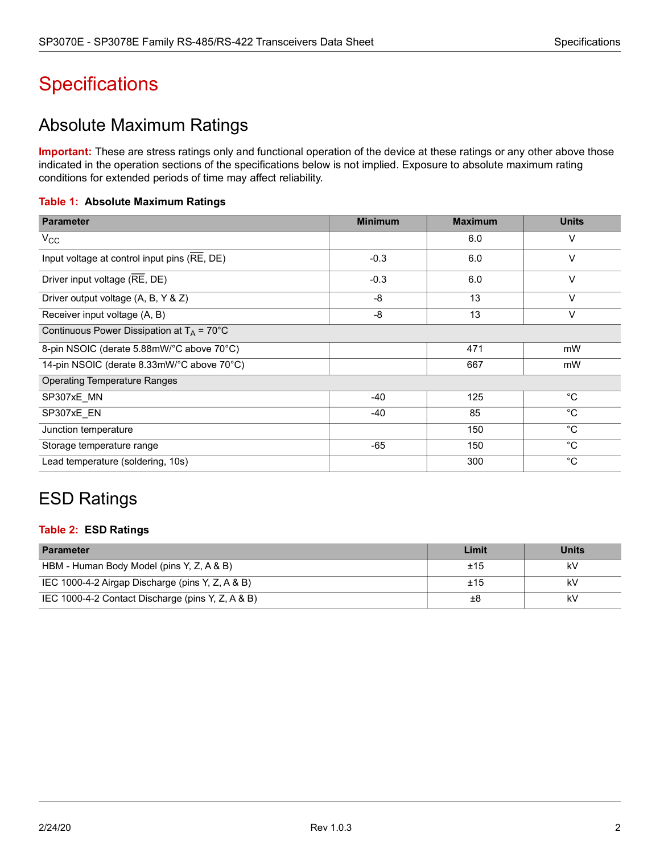# <span id="page-7-0"></span>**Specifications**

## <span id="page-7-1"></span>Absolute Maximum Ratings

**Important:** These are stress ratings only and functional operation of the device at these ratings or any other above those indicated in the operation sections of the specifications below is not implied. Exposure to absolute maximum rating conditions for extended periods of time may affect reliability.

### <span id="page-7-3"></span>**Table 1: Absolute Maximum Ratings**

| <b>Parameter</b>                                     | <b>Minimum</b> | <b>Maximum</b> | <b>Units</b> |
|------------------------------------------------------|----------------|----------------|--------------|
| $V_{\rm CC}$                                         |                | 6.0            | V            |
| Input voltage at control input pins (RE, DE)         | $-0.3$         | 6.0            | $\vee$       |
| Driver input voltage (RE, DE)                        | $-0.3$         | 6.0            | V            |
| Driver output voltage (A, B, Y & Z)                  | -8             | 13             | $\vee$       |
| Receiver input voltage (A, B)                        | -8             | 13             | $\vee$       |
| Continuous Power Dissipation at $T_A = 70^{\circ}$ C |                |                |              |
| 8-pin NSOIC (derate 5.88mW/°C above 70°C)            |                | 471            | mW           |
| 14-pin NSOIC (derate 8.33mW/°C above 70°C)           |                | 667            | mW           |
| <b>Operating Temperature Ranges</b>                  |                |                |              |
| SP307xE MN                                           | $-40$          | 125            | $^{\circ}C$  |
| SP307xE_EN                                           | $-40$          | 85             | $^{\circ}C$  |
| Junction temperature                                 |                | 150            | $^{\circ}C$  |
| Storage temperature range                            | -65            | 150            | $^{\circ}C$  |
| Lead temperature (soldering, 10s)                    |                | 300            | $^{\circ}C$  |

# <span id="page-7-2"></span>ESD Ratings

### **Table 2: ESD Ratings**

| <b>Parameter</b>                                  | Limit | <b>Units</b> |
|---------------------------------------------------|-------|--------------|
| HBM - Human Body Model (pins Y, Z, A & B)         | ±15   | k٧           |
| IEC 1000-4-2 Airgap Discharge (pins Y, Z, A & B)  | ±15   | kV           |
| IEC 1000-4-2 Contact Discharge (pins Y, Z, A & B) | ±8    | kV           |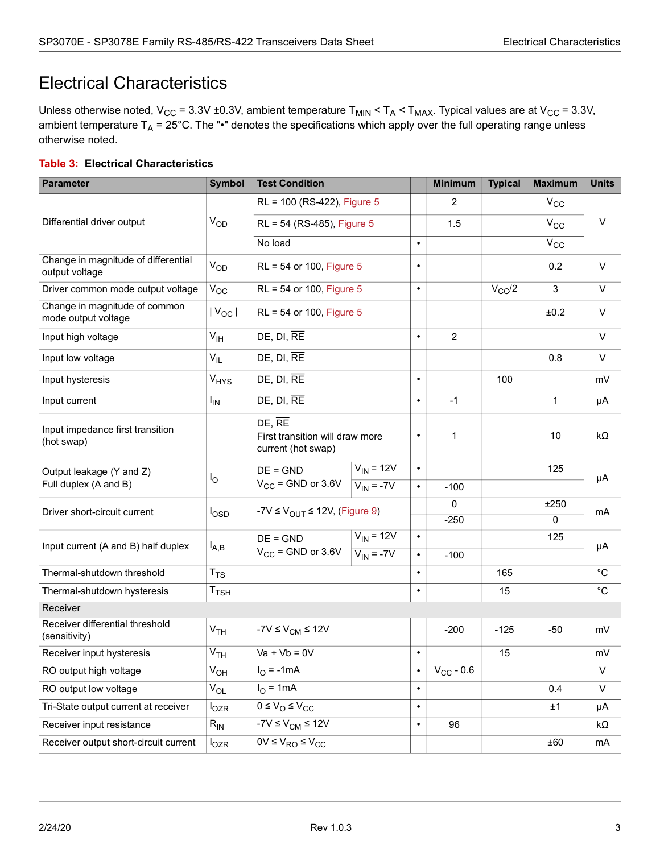# <span id="page-8-0"></span>Electrical Characteristics

Unless otherwise noted,  $V_{CC}$  = 3.3V ±0.3V, ambient temperature  $T_{MIN}$  <  $T_A$  <  $T_{MAX}$ . Typical values are at  $V_{CC}$  = 3.3V, ambient temperature  $T_A = 25^{\circ}$ C. The "•" denotes the specifications which apply over the full operating range unless otherwise noted.

### <span id="page-8-1"></span>**Table 3: Electrical Characteristics**

| <b>Parameter</b>                                      | <b>Symbol</b>               | <b>Test Condition</b>                                                        |                                  |                        | <b>Minimum</b> | <b>Typical</b> | <b>Maximum</b> | <b>Units</b> |
|-------------------------------------------------------|-----------------------------|------------------------------------------------------------------------------|----------------------------------|------------------------|----------------|----------------|----------------|--------------|
|                                                       |                             | RL = 100 (RS-422), Figure 5                                                  |                                  |                        | 2              |                | $V_{CC}$       |              |
| Differential driver output                            | V <sub>OD</sub>             | RL = 54 (RS-485), Figure 5                                                   |                                  |                        | 1.5            |                | $V_{\rm CC}$   | V            |
|                                                       |                             | No load                                                                      |                                  | $\bullet$              |                |                | $\rm V_{CC}$   |              |
| Change in magnitude of differential<br>output voltage | $V_{OD}$                    | RL = 54 or 100, Figure 5                                                     |                                  | $\bullet$              |                |                | 0.2            | V            |
| Driver common mode output voltage                     | $V_{OC}$                    | RL = 54 or 100, Figure 5                                                     |                                  | $\bullet$              |                | $V_{CC}/2$     | 3              | $\vee$       |
| Change in magnitude of common<br>mode output voltage  | $ V_{OC} $                  | RL = 54 or 100, Figure 5                                                     |                                  |                        |                |                | ±0.2           | V            |
| Input high voltage                                    | $V_{\text{IH}}$             | $DE$ , $DI$ , $RE$                                                           |                                  | $\bullet$              | $\overline{c}$ |                |                | $\vee$       |
| Input low voltage                                     | V <sub>IL</sub>             | $DE$ , $DI$ , $RE$                                                           |                                  |                        |                |                | 0.8            | V            |
| Input hysteresis                                      | $V_{HYS}$                   | $DE$ , $DI$ , $RE$                                                           |                                  | $\bullet$              |                | 100            |                | mV           |
| Input current                                         | <b>I<sub>IN</sub></b>       | $DE$ , $DI$ , $RE$                                                           |                                  | $\bullet$              | $-1$           |                | $\mathbf{1}$   | μA           |
| Input impedance first transition<br>(hot swap)        |                             | $DE, \overline{RE}$<br>First transition will draw more<br>current (hot swap) |                                  | $\bullet$              | 1              |                | 10             | $k\Omega$    |
| Output leakage (Y and Z)                              | Ιo                          | $DE = GND$                                                                   | $V_{IN}$ = 12V                   | $\bullet$              |                |                | 125            | μA           |
| Full duplex (A and B)                                 |                             | $V_{CC}$ = GND or 3.6V                                                       | $V_{IN} = -7V$                   | $\bullet$              | $-100$         |                |                |              |
| Driver short-circuit current                          | l <sub>OSD</sub>            | -7V $\leq$ V <sub>OUT</sub> $\leq$ 12V, (Figure 9)                           |                                  |                        | $\Omega$       |                | ±250           | mA           |
|                                                       |                             |                                                                              |                                  |                        | $-250$         |                | $\mathbf{0}$   |              |
| Input current (A and B) half duplex                   | $I_{A,B}$                   | $DE = GND$<br>$V_{CC}$ = GND or 3.6V                                         | $V_{IN}$ = 12V<br>$V_{IN}$ = -7V | $\bullet$<br>$\bullet$ |                |                | 125            | μA           |
| Thermal-shutdown threshold                            | $T_{TS}$                    |                                                                              |                                  | $\bullet$              | $-100$         | 165            |                | $^{\circ}C$  |
|                                                       | $\mathsf{T}_{\mathsf{TSH}}$ |                                                                              |                                  | $\bullet$              |                | 15             |                | $^{\circ}C$  |
| Thermal-shutdown hysteresis<br>Receiver               |                             |                                                                              |                                  |                        |                |                |                |              |
| Receiver differential threshold<br>(sensitivity)      | V <sub>TH</sub>             | $-7V \le V_{CM} \le 12V$                                                     |                                  |                        | $-200$         | $-125$         | $-50$          | mV           |
| Receiver input hysteresis                             | $\mathsf{V}_{\mathsf{TH}}$  | $Va + Vb = 0V$                                                               |                                  | $\bullet$              |                | 15             |                | mV           |
| RO output high voltage                                | $V_{OH}$                    | $IO = -1mA$                                                                  |                                  | $\bullet$              | $V_{CC}$ - 0.6 |                |                | $\vee$       |
| RO output low voltage                                 | $V_{OL}$                    | $I_{\Omega}$ = 1mA                                                           |                                  | $\bullet$              |                |                | 0.4            | $\vee$       |
| Tri-State output current at receiver                  | $I_{OZR}$                   | $0 \le V_{\rm O} \le V_{\rm CC}$                                             |                                  | $\bullet$              |                |                | ±1             | μA           |
| Receiver input resistance                             | $R_{IN}$                    | $-7V \le VCM \le 12V$                                                        |                                  | $\bullet$              | 96             |                |                | kΩ           |
| Receiver output short-circuit current                 | $I_{OZR}$                   | $0V \le V_{RO} \le V_{CC}$                                                   |                                  |                        |                |                | ±60            | mA           |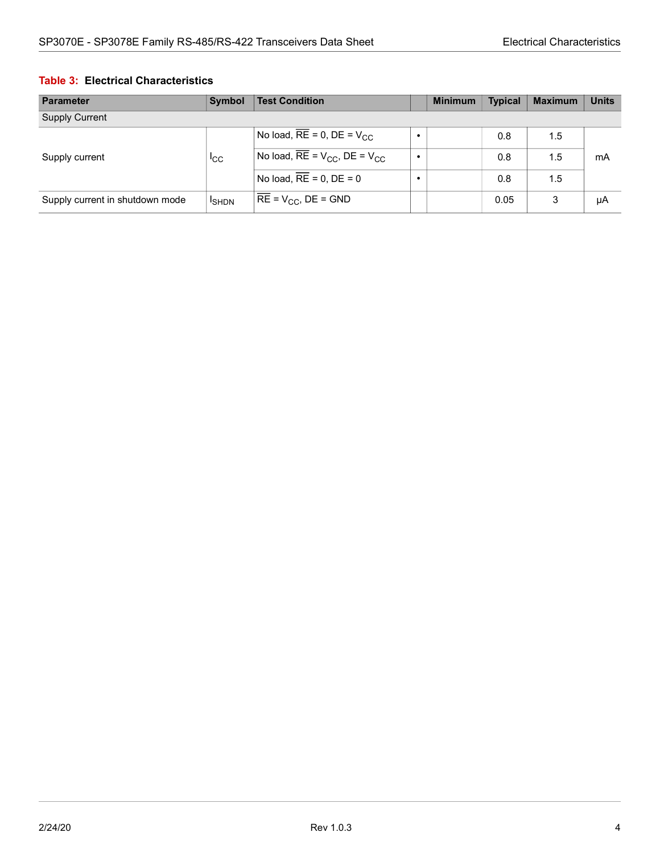#### **Table 3: Electrical Characteristics**

| <b>Parameter</b>                | Symbol         | <b>Test Condition</b>                   | <b>Minimum</b> | <b>Typical</b> | <b>Maximum</b> | <b>Units</b> |
|---------------------------------|----------------|-----------------------------------------|----------------|----------------|----------------|--------------|
| <b>Supply Current</b>           |                |                                         |                |                |                |              |
| Supply current                  |                | No load, $RE = 0$ , $DE = V_{CC}$       |                | 0.8            | 1.5            |              |
|                                 | <sub>ICC</sub> | No load, $RE = V_{CC}$ , $DE = V_{CC}$  |                | 0.8            | 1.5            | mA           |
|                                 |                | No load, $\overline{RE} = 0$ , $DE = 0$ |                | 0.8            | 1.5            |              |
| Supply current in shutdown mode | <b>I</b> SHDN  | $RE = V_{CC}$ , DE = GND                |                | 0.05           | 3              | μA           |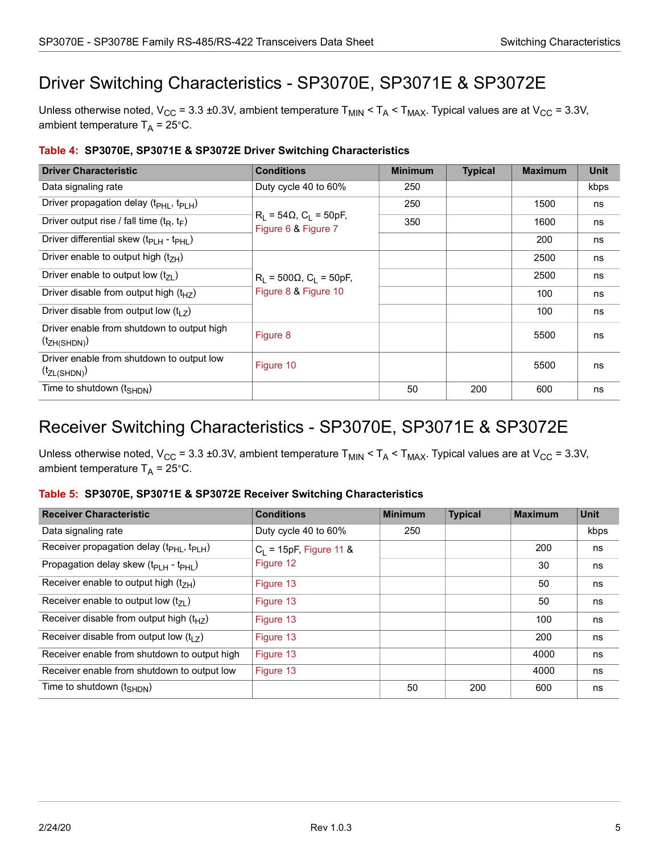# <span id="page-10-0"></span>Driver Switching Characteristics - SP3070E, SP3071E & SP3072E

Unless otherwise noted,  $V_{CC}$  = 3.3 ±0.3V, ambient temperature  $T_{MIN}$  <  $T_A$  <  $T_{MAX}$ . Typical values are at  $V_{CC}$  = 3.3V, ambient temperature  $T_A = 25^{\circ}$ C.

| <b>Driver Characteristic</b>                                    | <b>Conditions</b>                                                | <b>Minimum</b> | <b>Typical</b> | <b>Maximum</b> | <b>Unit</b> |
|-----------------------------------------------------------------|------------------------------------------------------------------|----------------|----------------|----------------|-------------|
| Data signaling rate                                             | Duty cycle 40 to 60%                                             | 250            |                |                | kbps        |
| Driver propagation delay (t <sub>PHL</sub> , t <sub>PLH</sub> ) |                                                                  | 250            |                | 1500           | ns          |
| Driver output rise / fall time ( $t_R$ , $t_F$ )                | $R_L = 54\Omega$ , C <sub>L</sub> = 50pF,<br>Figure 6 & Figure 7 | 350            |                | 1600           | ns          |
| Driver differential skew (t <sub>PLH</sub> - t <sub>PHL</sub> ) |                                                                  |                |                | 200            | ns          |
| Driver enable to output high $(t_{7H})$                         |                                                                  |                |                | 2500           | ns          |
| Driver enable to output low $(t_{71})$                          | $R_L$ = 500 $\Omega$ , $C_L$ = 50pF,<br>Figure 8 & Figure 10     |                |                | 2500           | ns          |
| Driver disable from output high $(t_{HZ})$                      |                                                                  |                |                | 100            | ns          |
| Driver disable from output low $(t1$ ,                          |                                                                  |                |                | 100            | ns          |
| Driver enable from shutdown to output high<br>$(t_{ZH(SHDN)})$  | Figure 8                                                         |                |                | 5500           | ns          |
| Driver enable from shutdown to output low<br>$(t_{ZL(SHDN)})$   | Figure 10                                                        |                |                | 5500           | ns          |
| Time to shutdown $(t_{\text{SHDN}})$                            |                                                                  | 50             | 200            | 600            | ns          |

### <span id="page-10-2"></span>**Table 4: SP3070E, SP3071E & SP3072E Driver Switching Characteristics**

## <span id="page-10-1"></span>Receiver Switching Characteristics - SP3070E, SP3071E & SP3072E

Unless otherwise noted,  $V_{CC}$  = 3.3 ±0.3V, ambient temperature  $T_{MIN}$  <  $T_A$  <  $T_{MAX}$ . Typical values are at  $V_{CC}$  = 3.3V, ambient temperature  $T_A = 25^{\circ}$ C.

#### <span id="page-10-3"></span>**Table 5: SP3070E, SP3071E & SP3072E Receiver Switching Characteristics**

| <b>Receiver Characteristic</b>                                    | <b>Conditions</b>         | <b>Minimum</b> | <b>Typical</b> | <b>Maximum</b> | <b>Unit</b> |
|-------------------------------------------------------------------|---------------------------|----------------|----------------|----------------|-------------|
| Data signaling rate                                               | Duty cycle 40 to 60%      | 250            |                |                | kbps        |
| Receiver propagation delay (t <sub>PHL</sub> , t <sub>PLH</sub> ) | $C_1$ = 15pF, Figure 11 & |                |                | 200            | ns          |
| Propagation delay skew (t <sub>PLH</sub> - t <sub>PHL</sub> )     | Figure 12                 |                |                | 30             | ns          |
| Receiver enable to output high $(t7H)$                            | Figure 13                 |                |                | 50             | ns          |
| Receiver enable to output low $(t_{71})$                          | Figure 13                 |                |                | 50             | ns          |
| Receiver disable from output high $(t_{HZ})$                      | Figure 13                 |                |                | 100            | ns          |
| Receiver disable from output low $(t_1, t_2)$                     | Figure 13                 |                |                | 200            | ns          |
| Receiver enable from shutdown to output high                      | Figure 13                 |                |                | 4000           | ns          |
| Receiver enable from shutdown to output low                       | Figure 13                 |                |                | 4000           | ns          |
| Time to shutdown $(t_{\text{SHDN}})$                              |                           | 50             | 200            | 600            | ns          |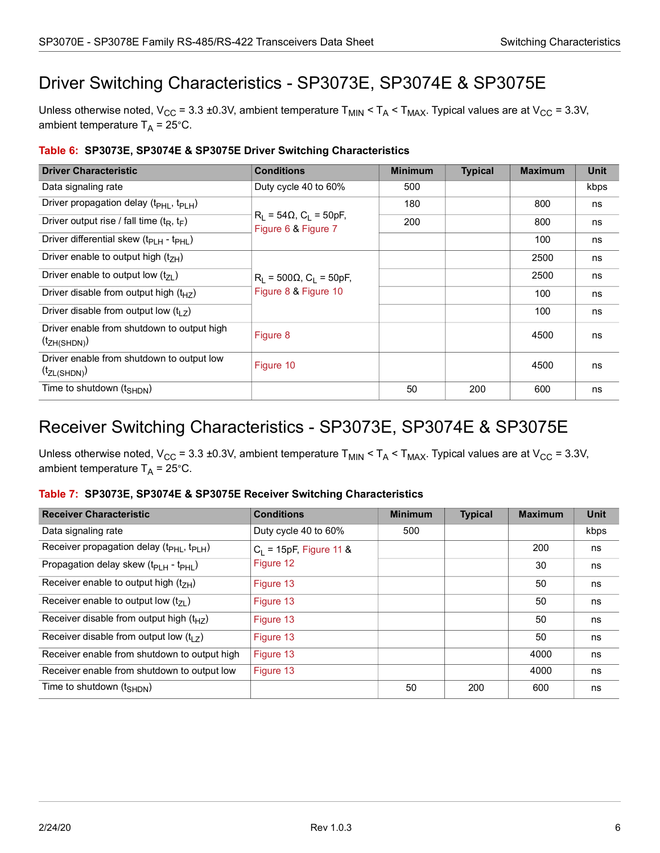# <span id="page-11-0"></span>Driver Switching Characteristics - SP3073E, SP3074E & SP3075E

Unless otherwise noted,  $V_{CC}$  = 3.3 ±0.3V, ambient temperature  $T_{MIN}$  <  $T_A$  <  $T_{MAX}$ . Typical values are at  $V_{CC}$  = 3.3V, ambient temperature  $T_A = 25^{\circ}$ C.

| <b>Driver Characteristic</b>                                    | <b>Conditions</b>                                                | <b>Minimum</b> | <b>Typical</b> | <b>Maximum</b> | <b>Unit</b> |
|-----------------------------------------------------------------|------------------------------------------------------------------|----------------|----------------|----------------|-------------|
| Data signaling rate                                             | Duty cycle 40 to 60%                                             | 500            |                |                | kbps        |
| Driver propagation delay (t <sub>PHL</sub> , t <sub>PLH</sub> ) |                                                                  | 180            |                | 800            | ns          |
| Driver output rise / fall time ( $t_R$ , $t_F$ )                | $R_L = 54\Omega$ , C <sub>L</sub> = 50pF,<br>Figure 6 & Figure 7 | 200            |                | 800            | ns          |
| Driver differential skew (t <sub>PLH</sub> - t <sub>PHL</sub> ) |                                                                  |                |                | 100            | ns          |
| Driver enable to output high $(t_{7H})$                         |                                                                  |                |                | 2500           | ns          |
| Driver enable to output low $(t_{71})$                          | $R_1 = 500 \Omega$ , C <sub>1</sub> = 50pF,                      |                |                | 2500           | ns          |
| Driver disable from output high $(t_{HZ})$                      | Figure 8 & Figure 10                                             |                |                | 100            | ns          |
| Driver disable from output low $(t_1$ $\bar{z})$                |                                                                  |                |                | 100            | ns          |
| Driver enable from shutdown to output high<br>$(t_{ZH(SHDN)})$  | Figure 8                                                         |                |                | 4500           | ns          |
| Driver enable from shutdown to output low<br>$(t_{ZL(SHDN)})$   | Figure 10                                                        |                |                | 4500           | ns          |
| Time to shutdown $(t_{\text{SHDN}})$                            |                                                                  | 50             | 200            | 600            | ns          |

### <span id="page-11-2"></span>**Table 6: SP3073E, SP3074E & SP3075E Driver Switching Characteristics**

## <span id="page-11-1"></span>Receiver Switching Characteristics - SP3073E, SP3074E & SP3075E

Unless otherwise noted,  $V_{CC}$  = 3.3 ±0.3V, ambient temperature  $T_{MIN}$  <  $T_A$  <  $T_{MAX}$ . Typical values are at  $V_{CC}$  = 3.3V, ambient temperature  $T_A = 25^{\circ}$ C.

### <span id="page-11-3"></span>**Table 7: SP3073E, SP3074E & SP3075E Receiver Switching Characteristics**

| <b>Receiver Characteristic</b>                                    | <b>Conditions</b>         | <b>Minimum</b> | <b>Typical</b> | <b>Maximum</b> | Unit |
|-------------------------------------------------------------------|---------------------------|----------------|----------------|----------------|------|
| Data signaling rate                                               | Duty cycle 40 to 60%      | 500            |                |                | kbps |
| Receiver propagation delay (t <sub>PHL</sub> , t <sub>PLH</sub> ) | $C_1$ = 15pF, Figure 11 & |                |                | 200            | ns   |
| Propagation delay skew (t <sub>PLH</sub> - t <sub>PHL</sub> )     | Figure 12                 |                |                | 30             | ns   |
| Receiver enable to output high $(t_{7H})$                         | Figure 13                 |                |                | 50             | ns   |
| Receiver enable to output low $(t_{71})$                          | Figure 13                 |                |                | 50             | ns   |
| Receiver disable from output high $(t_{HZ})$                      | Figure 13                 |                |                | 50             | ns   |
| Receiver disable from output low $(t1$ )                          | Figure 13                 |                |                | 50             | ns   |
| Receiver enable from shutdown to output high                      | Figure 13                 |                |                | 4000           | ns   |
| Receiver enable from shutdown to output low                       | Figure 13                 |                |                | 4000           | ns   |
| Time to shutdown $(t_{\text{SHDN}})$                              |                           | 50             | 200            | 600            | ns   |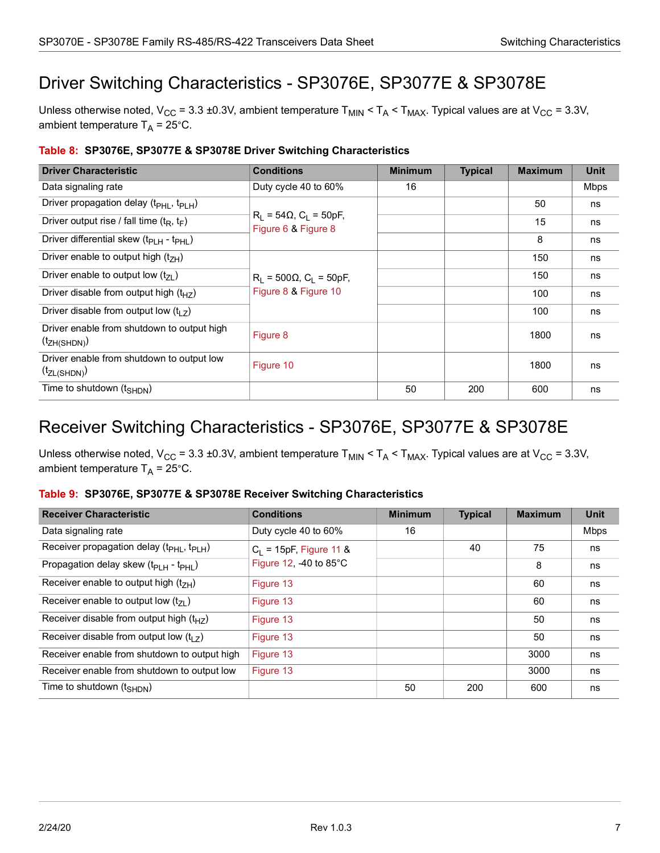# <span id="page-12-0"></span>Driver Switching Characteristics - SP3076E, SP3077E & SP3078E

Unless otherwise noted,  $V_{CC}$  = 3.3 ±0.3V, ambient temperature  $T_{MIN}$  <  $T_A$  <  $T_{MAX}$ . Typical values are at  $V_{CC}$  = 3.3V, ambient temperature  $T_A = 25^{\circ}$ C.

| <b>Driver Characteristic</b>                                    | <b>Conditions</b>                                                | <b>Minimum</b> | <b>Typical</b> | <b>Maximum</b> | <b>Unit</b> |
|-----------------------------------------------------------------|------------------------------------------------------------------|----------------|----------------|----------------|-------------|
| Data signaling rate                                             | Duty cycle 40 to 60%                                             | 16             |                |                | <b>Mbps</b> |
| Driver propagation delay (t <sub>PHL</sub> , t <sub>PLH</sub> ) |                                                                  |                |                | 50             | ns          |
| Driver output rise / fall time ( $t_R$ , $t_F$ )                | $R_L = 54\Omega$ , C <sub>L</sub> = 50pF,<br>Figure 6 & Figure 8 |                |                | 15             | ns          |
| Driver differential skew (t <sub>PLH</sub> - t <sub>PHL</sub> ) |                                                                  |                |                | 8              | ns          |
| Driver enable to output high $(t_{7H})$                         |                                                                  |                |                | 150            | ns          |
| Driver enable to output low $(t_{71})$                          | $R_L$ = 500 $\Omega$ , $C_L$ = 50pF,                             |                |                | 150            | ns          |
| Driver disable from output high $(t_{HZ})$                      | Figure 8 & Figure 10                                             |                |                | 100            | ns          |
| Driver disable from output low $(t_1$ $\bar{z})$                |                                                                  |                |                | 100            | ns          |
| Driver enable from shutdown to output high<br>$(t_{ZH(SHDN)})$  | Figure 8                                                         |                |                | 1800           | ns          |
| Driver enable from shutdown to output low<br>$(t_{ZL(SHDN)})$   | Figure 10                                                        |                |                | 1800           | ns          |
| Time to shutdown $(t_{\text{SHDN}})$                            |                                                                  | 50             | 200            | 600            | ns          |

### <span id="page-12-2"></span>**Table 8: SP3076E, SP3077E & SP3078E Driver Switching Characteristics**

## <span id="page-12-1"></span>Receiver Switching Characteristics - SP3076E, SP3077E & SP3078E

Unless otherwise noted,  $V_{CC}$  = 3.3 ±0.3V, ambient temperature  $T_{MIN}$  <  $T_A$  <  $T_{MAX}$ . Typical values are at  $V_{CC}$  = 3.3V, ambient temperature  $T_A = 25^{\circ}$ C.

#### <span id="page-12-3"></span>**Table 9: SP3076E, SP3077E & SP3078E Receiver Switching Characteristics**

| <b>Receiver Characteristic</b>                                    | <b>Conditions</b>         | <b>Minimum</b> | <b>Typical</b> | <b>Maximum</b> | <b>Unit</b> |
|-------------------------------------------------------------------|---------------------------|----------------|----------------|----------------|-------------|
| Data signaling rate                                               | Duty cycle 40 to 60%      | 16             |                |                | <b>Mbps</b> |
| Receiver propagation delay (t <sub>PHL</sub> , t <sub>PLH</sub> ) | $C_1$ = 15pF, Figure 11 & |                | 40             | 75             | ns          |
| Propagation delay skew (t <sub>PLH</sub> - t <sub>PHL</sub> )     | Figure 12, -40 to 85°C    |                |                | 8              | ns          |
| Receiver enable to output high $(t7H)$                            | Figure 13                 |                |                | 60             | ns          |
| Receiver enable to output low $(t_{7})$                           | Figure 13                 |                |                | 60             | ns          |
| Receiver disable from output high $(t_{HZ})$                      | Figure 13                 |                |                | 50             | ns          |
| Receiver disable from output low $(t_1, t_2)$                     | Figure 13                 |                |                | 50             | ns          |
| Receiver enable from shutdown to output high                      | Figure 13                 |                |                | 3000           | ns          |
| Receiver enable from shutdown to output low                       | Figure 13                 |                |                | 3000           | ns          |
| Time to shutdown $(t_{\text{SHDN}})$                              |                           | 50             | 200            | 600            | ns          |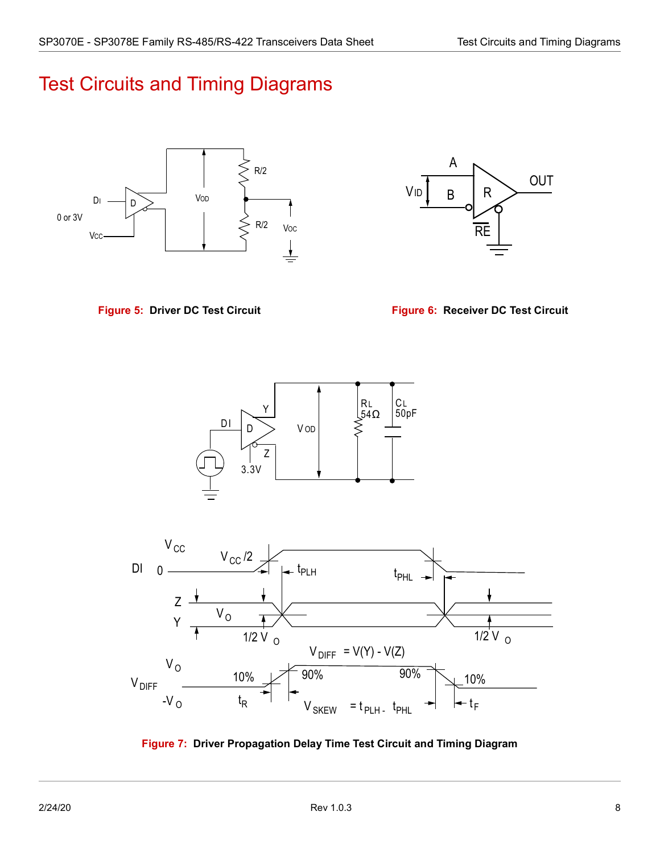# <span id="page-13-0"></span>Test Circuits and Timing Diagrams



<span id="page-13-2"></span>

<span id="page-13-1"></span>**Figure 5: Driver DC Test Circuit Figure 6: Receiver DC Test Circuit**





<span id="page-13-3"></span>**Figure 7: Driver Propagation Delay Time Test Circuit and Timing Diagram**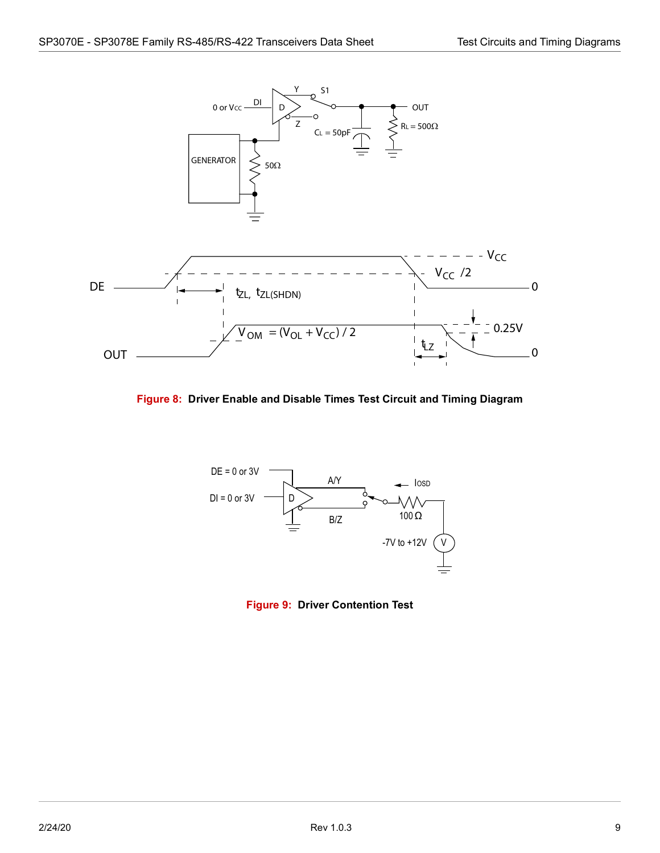

<span id="page-14-0"></span>**Figure 8: Driver Enable and Disable Times Test Circuit and Timing Diagram**



<span id="page-14-1"></span>**Figure 9: Driver Contention Test**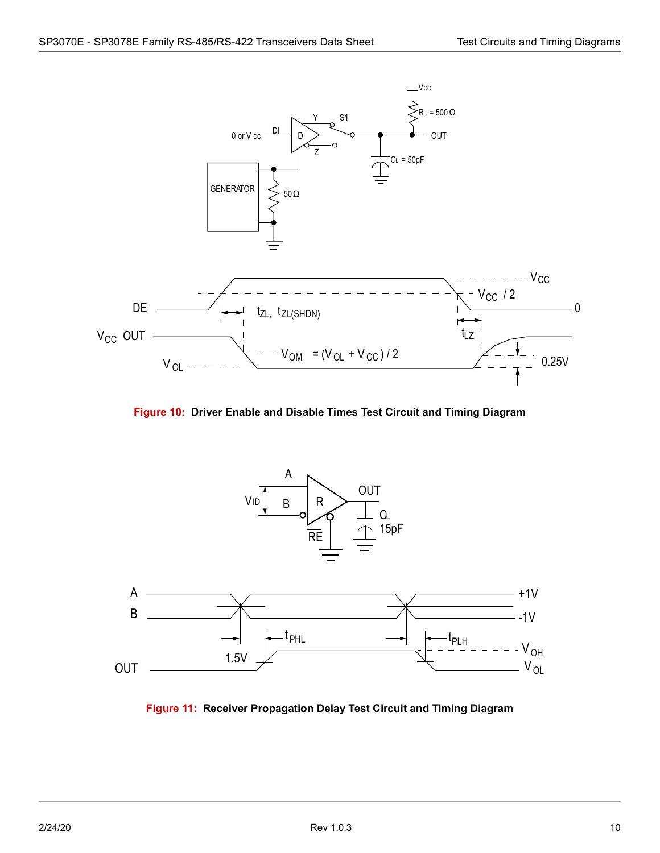



<span id="page-15-0"></span>

<span id="page-15-1"></span>**Figure 11: Receiver Propagation Delay Test Circuit and Timing Diagram**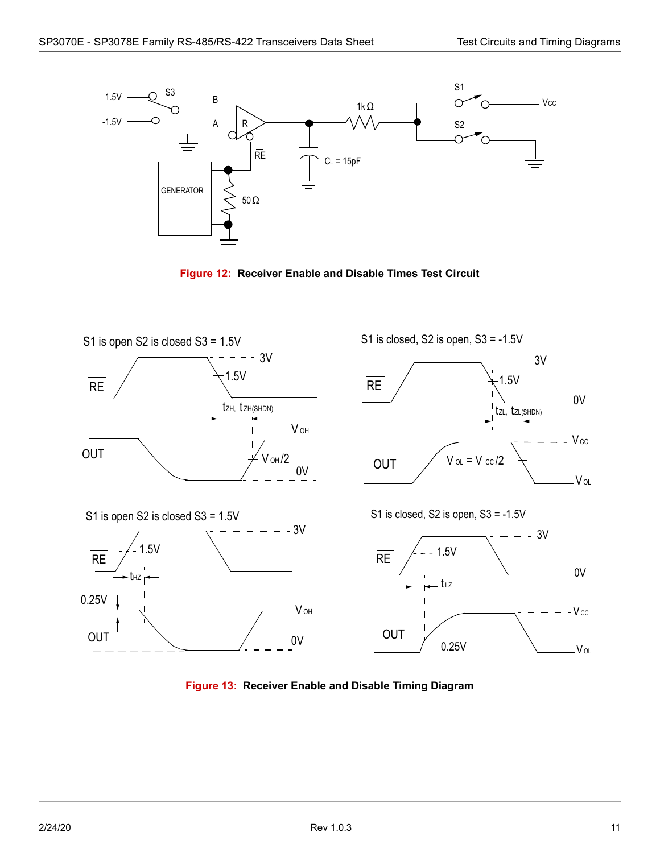

**Figure 12: Receiver Enable and Disable Times Test Circuit**

<span id="page-16-0"></span>

<span id="page-16-1"></span>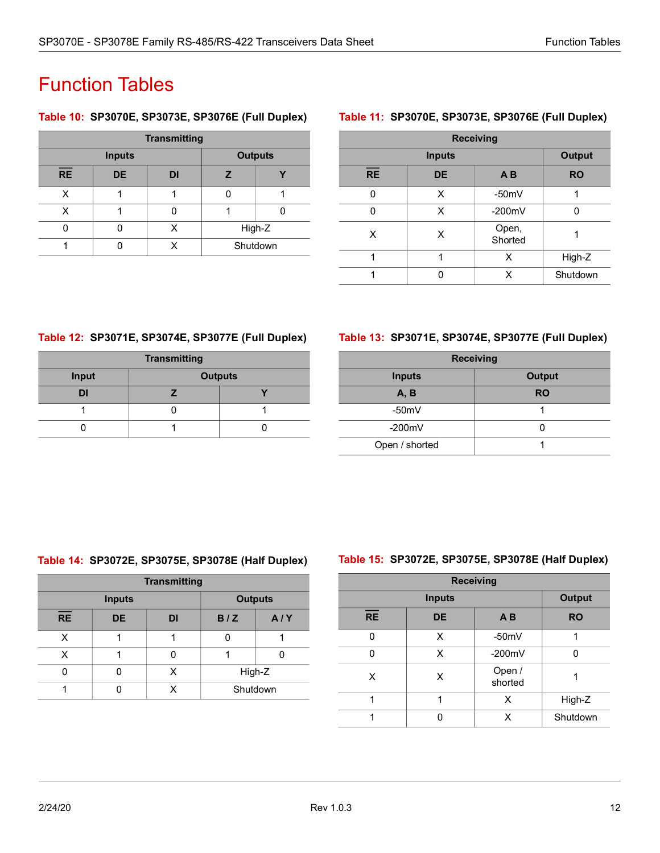# <span id="page-17-0"></span>Function Tables

### <span id="page-17-1"></span>**Table 10: SP3070E, SP3073E, SP3076E (Full Duplex)**

| <b>Transmitting</b> |           |   |                |  |  |  |
|---------------------|-----------|---|----------------|--|--|--|
| <b>Inputs</b>       |           |   | <b>Outputs</b> |  |  |  |
| RE                  | <b>DE</b> | z |                |  |  |  |
| x                   |           |   |                |  |  |  |
|                     |           |   |                |  |  |  |
|                     |           |   | High-Z         |  |  |  |
|                     |           |   | Shutdown       |  |  |  |

### <span id="page-17-2"></span>**Table 11: SP3070E, SP3073E, SP3076E (Full Duplex)**

| <b>Receiving</b> |               |                  |           |  |  |  |
|------------------|---------------|------------------|-----------|--|--|--|
|                  | <b>Inputs</b> |                  |           |  |  |  |
| <b>RE</b>        | <b>DE</b>     | A <sub>B</sub>   | <b>RO</b> |  |  |  |
|                  | x             | $-50mV$          |           |  |  |  |
| ი                | x             | $-200mV$         |           |  |  |  |
| X                | X             | Open,<br>Shorted |           |  |  |  |
|                  | 1             | x                | High-Z    |  |  |  |
|                  |               | x                | Shutdown  |  |  |  |

### <span id="page-17-3"></span>**Table 12: SP3071E, SP3074E, SP3077E (Full Duplex)**

| <b>Transmitting</b>     |  |  |  |  |  |
|-------------------------|--|--|--|--|--|
| Input<br><b>Outputs</b> |  |  |  |  |  |
| DI                      |  |  |  |  |  |
|                         |  |  |  |  |  |
|                         |  |  |  |  |  |

### <span id="page-17-4"></span>**Table 13: SP3071E, SP3074E, SP3077E (Full Duplex)**

| <b>Receiving</b> |               |  |  |  |  |
|------------------|---------------|--|--|--|--|
| <b>Inputs</b>    | <b>Output</b> |  |  |  |  |
| A, B             | <b>RO</b>     |  |  |  |  |
| $-50mV$          |               |  |  |  |  |
| $-200mV$         |               |  |  |  |  |
| Open / shorted   |               |  |  |  |  |

### <span id="page-17-5"></span>**Table 14: SP3072E, SP3075E, SP3078E (Half Duplex)**

| <b>Transmitting</b> |           |           |                |     |  |  |
|---------------------|-----------|-----------|----------------|-----|--|--|
| <b>Inputs</b>       |           |           | <b>Outputs</b> |     |  |  |
| RE                  | <b>DE</b> | <b>DI</b> | B/Z            | A/Y |  |  |
| x                   |           |           |                |     |  |  |
| X                   |           |           |                |     |  |  |
|                     |           |           | High-Z         |     |  |  |
|                     |           |           | Shutdown       |     |  |  |

### <span id="page-17-6"></span>**Table 15: SP3072E, SP3075E, SP3078E (Half Duplex)**

| <b>Receiving</b> |               |                   |           |  |  |  |
|------------------|---------------|-------------------|-----------|--|--|--|
|                  | <b>Inputs</b> |                   |           |  |  |  |
| <b>RE</b>        | <b>DE</b>     | A <sub>B</sub>    | <b>RO</b> |  |  |  |
| n                | x             | $-50mV$           | 1         |  |  |  |
|                  | x             | $-200mV$          | n         |  |  |  |
| x                | x             | Open /<br>shorted |           |  |  |  |
|                  |               | X                 | High-Z    |  |  |  |
|                  |               | x                 | Shutdown  |  |  |  |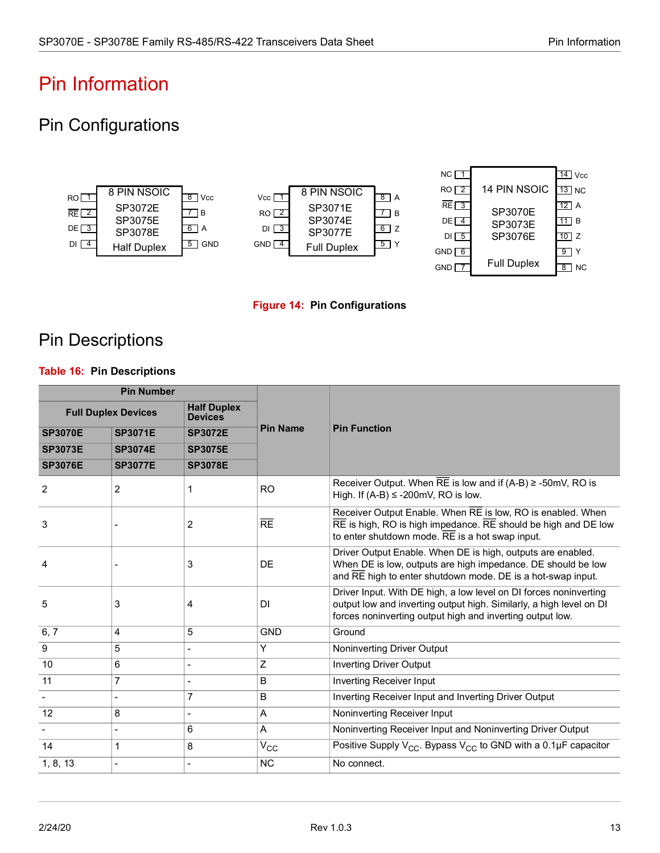# <span id="page-18-0"></span>Pin Information

# <span id="page-18-1"></span>Pin Configurations





## <span id="page-18-3"></span><span id="page-18-2"></span>Pin Descriptions

### <span id="page-18-4"></span>**Table 16: Pin Descriptions**

| <b>Pin Number</b> |                            |                                      |                 |                                                                                                                                                                                                                          |  |
|-------------------|----------------------------|--------------------------------------|-----------------|--------------------------------------------------------------------------------------------------------------------------------------------------------------------------------------------------------------------------|--|
|                   | <b>Full Duplex Devices</b> | <b>Half Duplex</b><br><b>Devices</b> |                 |                                                                                                                                                                                                                          |  |
| <b>SP3070E</b>    | <b>SP3071E</b>             | <b>SP3072E</b>                       | <b>Pin Name</b> | <b>Pin Function</b>                                                                                                                                                                                                      |  |
| <b>SP3073E</b>    | <b>SP3074E</b>             | <b>SP3075E</b>                       |                 |                                                                                                                                                                                                                          |  |
| <b>SP3076E</b>    | <b>SP3077E</b>             | <b>SP3078E</b>                       |                 |                                                                                                                                                                                                                          |  |
| 2                 | 2                          | 1                                    | <b>RO</b>       | Receiver Output. When RE is low and if $(A-B) \ge -50$ mV, RO is<br>High. If $(A-B) \le -200$ mV, RO is low.                                                                                                             |  |
| 3                 |                            | $\overline{2}$                       | RE              | Receiver Output Enable. When RE is low, RO is enabled. When<br>$\overline{\text{RE}}$ is high, RO is high impedance. $\overline{\text{RE}}$ should be high and DE low<br>to enter shutdown mode. RE is a hot swap input. |  |
| 4                 |                            | 3                                    | DE              | Driver Output Enable. When DE is high, outputs are enabled.<br>When DE is low, outputs are high impedance. DE should be low<br>and RE high to enter shutdown mode. DE is a hot-swap input.                               |  |
| 5                 | 3                          | 4                                    | DI              | Driver Input. With DE high, a low level on DI forces noninverting<br>output low and inverting output high. Similarly, a high level on DI<br>forces noninverting output high and inverting output low.                    |  |
| 6, 7              | 4                          | 5                                    | <b>GND</b>      | Ground                                                                                                                                                                                                                   |  |
| 9                 | 5                          |                                      | Y               | Noninverting Driver Output                                                                                                                                                                                               |  |
| 10                | 6                          |                                      | Z               | <b>Inverting Driver Output</b>                                                                                                                                                                                           |  |
| 11                | 7                          |                                      | B               | <b>Inverting Receiver Input</b>                                                                                                                                                                                          |  |
|                   | $\overline{a}$             | $\overline{7}$                       | B               | Inverting Receiver Input and Inverting Driver Output                                                                                                                                                                     |  |
| 12                | 8                          |                                      | Α               | Noninverting Receiver Input                                                                                                                                                                                              |  |
|                   |                            | 6                                    | A               | Noninverting Receiver Input and Noninverting Driver Output                                                                                                                                                               |  |
| 14                | 1                          | 8                                    | $V_{\rm CC}$    | Positive Supply $V_{CC}$ . Bypass $V_{CC}$ to GND with a 0.1µF capacitor                                                                                                                                                 |  |
| 1, 8, 13          |                            |                                      | <b>NC</b>       | No connect.                                                                                                                                                                                                              |  |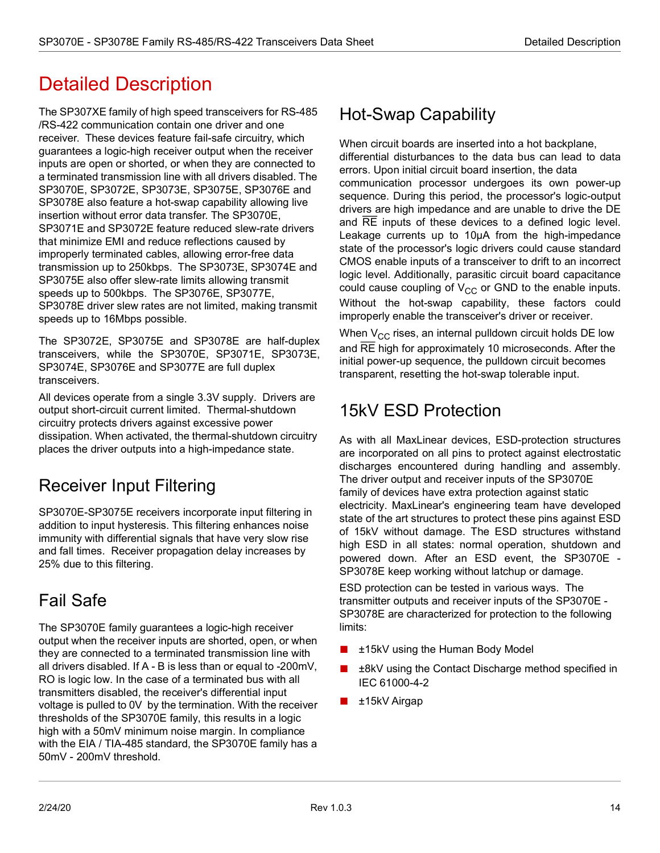# <span id="page-19-0"></span>Detailed Description

The SP307XE family of high speed transceivers for RS-485 /RS-422 communication contain one driver and one receiver. These devices feature fail-safe circuitry, which guarantees a logic-high receiver output when the receiver inputs are open or shorted, or when they are connected to a terminated transmission line with all drivers disabled. The SP3070E, SP3072E, SP3073E, SP3075E, SP3076E and SP3078E also feature a hot-swap capability allowing live insertion without error data transfer. The SP3070E, SP3071E and SP3072E feature reduced slew-rate drivers that minimize EMI and reduce reflections caused by improperly terminated cables, allowing error-free data transmission up to 250kbps. The SP3073E, SP3074E and SP3075E also offer slew-rate limits allowing transmit speeds up to 500kbps. The SP3076E, SP3077E, SP3078E driver slew rates are not limited, making transmit speeds up to 16Mbps possible.

The SP3072E, SP3075E and SP3078E are half-duplex transceivers, while the SP3070E, SP3071E, SP3073E, SP3074E, SP3076E and SP3077E are full duplex transceivers.

All devices operate from a single 3.3V supply. Drivers are output short-circuit current limited. Thermal-shutdown circuitry protects drivers against excessive power dissipation. When activated, the thermal-shutdown circuitry places the driver outputs into a high-impedance state.

# <span id="page-19-1"></span>Receiver Input Filtering

SP3070E-SP3075E receivers incorporate input filtering in addition to input hysteresis. This filtering enhances noise immunity with differential signals that have very slow rise and fall times. Receiver propagation delay increases by 25% due to this filtering.

# <span id="page-19-2"></span>Fail Safe

The SP3070E family guarantees a logic-high receiver output when the receiver inputs are shorted, open, or when they are connected to a terminated transmission line with all drivers disabled. If A - B is less than or equal to -200mV, RO is logic low. In the case of a terminated bus with all transmitters disabled, the receiver's differential input voltage is pulled to 0V by the termination. With the receiver thresholds of the SP3070E family, this results in a logic high with a 50mV minimum noise margin. In compliance with the EIA / TIA-485 standard, the SP3070E family has a 50mV - 200mV threshold.

# <span id="page-19-3"></span>Hot-Swap Capability

When circuit boards are inserted into a hot backplane, differential disturbances to the data bus can lead to data errors. Upon initial circuit board insertion, the data

communication processor undergoes its own power-up sequence. During this period, the processor's logic-output drivers are high impedance and are unable to drive the DE and RE inputs of these devices to a defined logic level. Leakage currents up to 10µA from the high-impedance state of the processor's logic drivers could cause standard CMOS enable inputs of a transceiver to drift to an incorrect logic level. Additionally, parasitic circuit board capacitance could cause coupling of  $V_{CC}$  or GND to the enable inputs. Without the hot-swap capability, these factors could improperly enable the transceiver's driver or receiver.

When  $V_{CC}$  rises, an internal pulldown circuit holds DE low and RE high for approximately 10 microseconds. After the initial power-up sequence, the pulldown circuit becomes transparent, resetting the hot-swap tolerable input.

# <span id="page-19-4"></span>15kV ESD Protection

As with all MaxLinear devices, ESD-protection structures are incorporated on all pins to protect against electrostatic discharges encountered during handling and assembly. The driver output and receiver inputs of the SP3070E family of devices have extra protection against static electricity. MaxLinear's engineering team have developed state of the art structures to protect these pins against ESD of 15kV without damage. The ESD structures withstand high ESD in all states: normal operation, shutdown and powered down. After an ESD event, the SP3070E - SP3078E keep working without latchup or damage.

ESD protection can be tested in various ways. The transmitter outputs and receiver inputs of the SP3070E - SP3078E are characterized for protection to the following limits:

- ±15kV using the Human Body Model
- ±8kV using the Contact Discharge method specified in IEC 61000-4-2
- ±15kV Airgap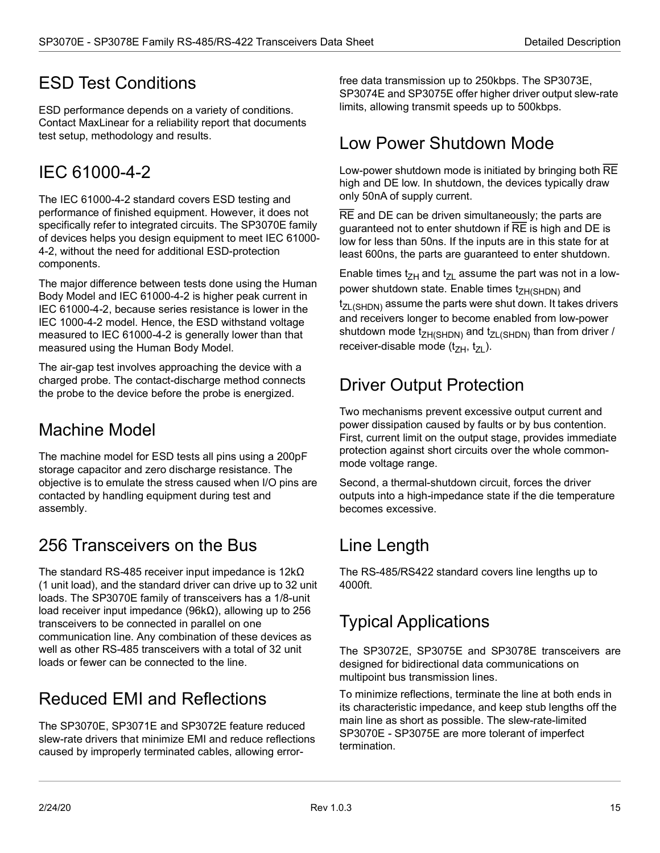## <span id="page-20-0"></span>ESD Test Conditions

ESD performance depends on a variety of conditions. Contact MaxLinear for a reliability report that documents test setup, methodology and results.

# <span id="page-20-1"></span>IEC 61000-4-2

The IEC 61000-4-2 standard covers ESD testing and performance of finished equipment. However, it does not specifically refer to integrated circuits. The SP3070E family of devices helps you design equipment to meet IEC 61000- 4-2, without the need for additional ESD-protection components.

The major difference between tests done using the Human Body Model and IEC 61000-4-2 is higher peak current in IEC 61000-4-2, because series resistance is lower in the IEC 1000-4-2 model. Hence, the ESD withstand voltage measured to IEC 61000-4-2 is generally lower than that measured using the Human Body Model.

The air-gap test involves approaching the device with a charged probe. The contact-discharge method connects the probe to the device before the probe is energized.

## <span id="page-20-2"></span>Machine Model

The machine model for ESD tests all pins using a 200pF storage capacitor and zero discharge resistance. The objective is to emulate the stress caused when I/O pins are contacted by handling equipment during test and assembly.

# <span id="page-20-3"></span>256 Transceivers on the Bus

The standard RS-485 receiver input impedance is 12kΩ (1 unit load), and the standard driver can drive up to 32 unit loads. The SP3070E family of transceivers has a 1/8-unit load receiver input impedance (96kΩ), allowing up to 256 transceivers to be connected in parallel on one communication line. Any combination of these devices as well as other RS-485 transceivers with a total of 32 unit loads or fewer can be connected to the line.

# <span id="page-20-4"></span>Reduced EMI and Reflections

The SP3070E, SP3071E and SP3072E feature reduced slew-rate drivers that minimize EMI and reduce reflections caused by improperly terminated cables, allowing errorfree data transmission up to 250kbps. The SP3073E, SP3074E and SP3075E offer higher driver output slew-rate limits, allowing transmit speeds up to 500kbps.

## <span id="page-20-5"></span>Low Power Shutdown Mode

Low-power shutdown mode is initiated by bringing both RE high and DE low. In shutdown, the devices typically draw only 50nA of supply current.

RE and DE can be driven simultaneously; the parts are guaranteed not to enter shutdown if RE is high and DE is low for less than 50ns. If the inputs are in this state for at least 600ns, the parts are guaranteed to enter shutdown.

Enable times t<sub>ZH</sub> and t<sub>ZH</sub> assume the part was not in a lowpower shutdown state. Enable times t<sub>ZH(SHDN)</sub> and  $t_{ZL(SHDN)}$  assume the parts were shut down. It takes drivers and receivers longer to become enabled from low-power shutdown mode  $t_{ZH(SHDN)}$  and  $t_{ZL(SHDN)}$  than from driver / receiver-disable mode  $(t_{ZH}, t_{ZL})$ .

# <span id="page-20-6"></span>Driver Output Protection

Two mechanisms prevent excessive output current and power dissipation caused by faults or by bus contention. First, current limit on the output stage, provides immediate protection against short circuits over the whole commonmode voltage range.

Second, a thermal-shutdown circuit, forces the driver outputs into a high-impedance state if the die temperature becomes excessive.

# <span id="page-20-7"></span>Line Length

The RS-485/RS422 standard covers line lengths up to 4000ft.

# <span id="page-20-8"></span>Typical Applications

The SP3072E, SP3075E and SP3078E transceivers are designed for bidirectional data communications on multipoint bus transmission lines.

To minimize reflections, terminate the line at both ends in its characteristic impedance, and keep stub lengths off the main line as short as possible. The slew-rate-limited SP3070E - SP3075E are more tolerant of imperfect termination.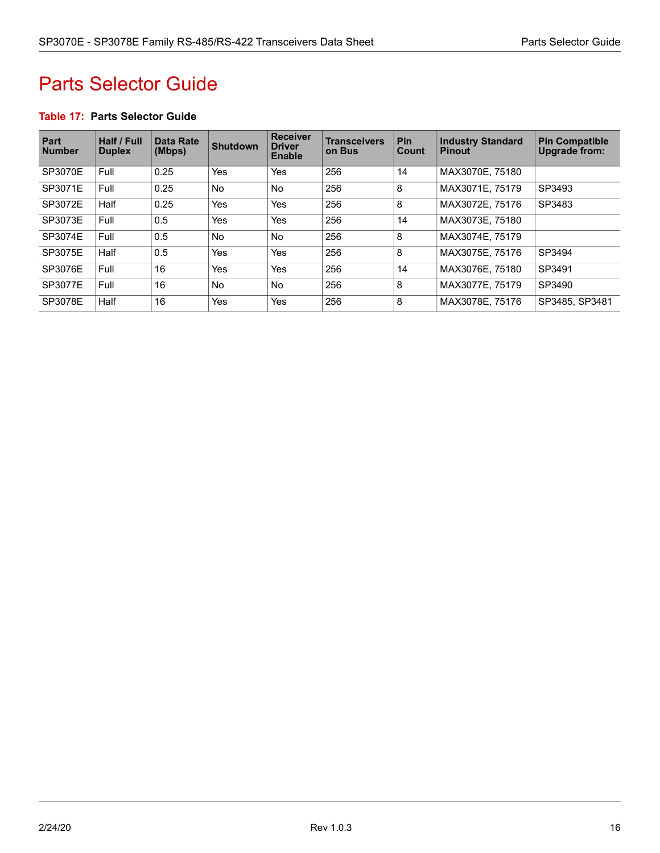# <span id="page-21-0"></span>Parts Selector Guide

#### <span id="page-21-1"></span>**Table 17: Parts Selector Guide**

| <b>Part</b><br><b>Number</b> | Half / Full<br><b>Duplex</b> | <b>Data Rate</b><br>(Mbps) | <b>Shutdown</b> | <b>Receiver</b><br><b>Driver</b><br><b>Enable</b> | <b>Transceivers</b><br>on Bus | <b>Pin</b><br>Count | <b>Industry Standard</b><br><b>Pinout</b> | <b>Pin Compatible</b><br><b>Upgrade from:</b> |
|------------------------------|------------------------------|----------------------------|-----------------|---------------------------------------------------|-------------------------------|---------------------|-------------------------------------------|-----------------------------------------------|
| SP3070E                      | Full                         | 0.25                       | Yes             | Yes                                               | 256                           | 14                  | MAX3070E. 75180                           |                                               |
| SP3071E                      | Full                         | 0.25                       | <b>No</b>       | <b>No</b>                                         | 256                           | 8                   | MAX3071E, 75179                           | SP3493                                        |
| SP3072E                      | Half                         | 0.25                       | Yes             | Yes                                               | 256                           | 8                   | MAX3072E, 75176                           | SP3483                                        |
| SP3073E                      | Full                         | 0.5                        | <b>Yes</b>      | Yes                                               | 256                           | 14                  | MAX3073E, 75180                           |                                               |
| SP3074E                      | Full                         | 0.5                        | <b>No</b>       | <b>No</b>                                         | 256                           | 8                   | MAX3074E, 75179                           |                                               |
| SP3075E                      | Half                         | 0.5                        | <b>Yes</b>      | Yes                                               | 256                           | 8                   | MAX3075E, 75176                           | SP3494                                        |
| SP3076E                      | Full                         | 16                         | <b>Yes</b>      | Yes                                               | 256                           | 14                  | MAX3076E, 75180                           | SP3491                                        |
| SP3077E                      | Full                         | 16                         | <b>No</b>       | No.                                               | 256                           | 8                   | MAX3077E. 75179                           | SP3490                                        |
| SP3078E                      | Half                         | 16                         | Yes             | Yes                                               | 256                           | 8                   | MAX3078E, 75176                           | SP3485, SP3481                                |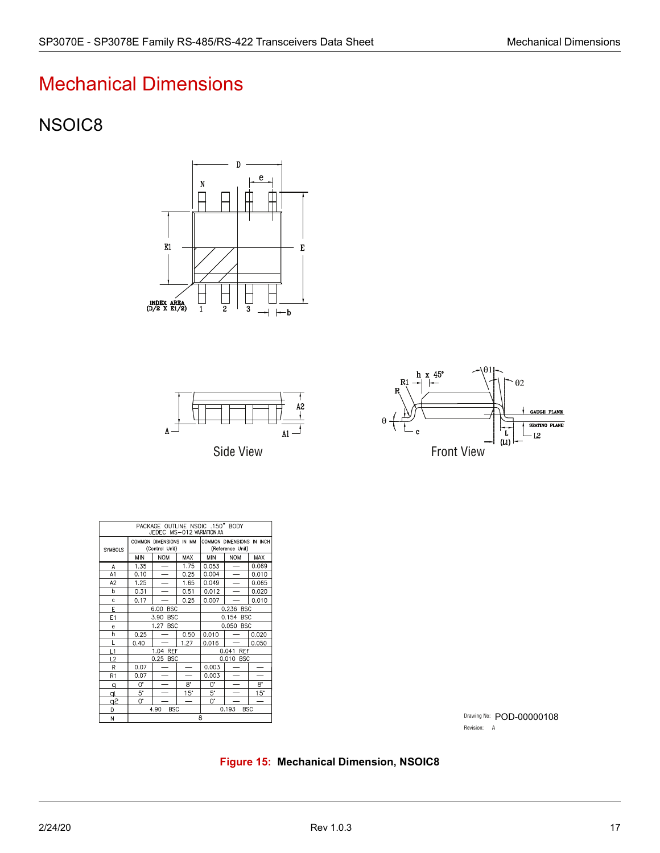# <span id="page-22-0"></span>Mechanical Dimensions

## <span id="page-22-1"></span>NSOIC8







| PACKAGE OUTLINE NSOIC .150" BODY<br>JEDEC MS-012 VARIATION AA |                                           |                          |              |                                               |            |              |
|---------------------------------------------------------------|-------------------------------------------|--------------------------|--------------|-----------------------------------------------|------------|--------------|
| SYMBOLS                                                       | COMMON DIMENSIONS IN MM<br>(Control Unit) |                          |              | COMMON DIMENSIONS IN INCH<br>(Reference Unit) |            |              |
|                                                               | <b>MIN</b>                                | <b>NOM</b>               | MAX          | <b>MIN</b>                                    | <b>NOM</b> | <b>MAX</b>   |
| A                                                             | 1.35                                      |                          | 1.75         | 0.053                                         |            | 0.069        |
| A1                                                            | 0.10                                      | $\overline{\phantom{0}}$ | 0.25         | 0.004                                         |            | 0.010        |
| A2                                                            | 1.25                                      |                          | 1.65         | 0.049                                         |            | 0.065        |
| b                                                             | 0.31                                      |                          | 0.51         | 0.012                                         |            | 0.020        |
| c                                                             | 0.17                                      |                          | 0.25         | 0.007                                         |            | 0.010        |
| E                                                             | <b>BSC</b><br>6.00                        |                          |              | 0.236 BSC                                     |            |              |
| E1                                                            | 3.90<br><b>BSC</b>                        |                          |              | 0.154<br><b>BSC</b>                           |            |              |
| ė                                                             | 1.27 BSC                                  |                          |              | 0.050 BSC                                     |            |              |
| h                                                             | 0.25                                      |                          | 0.50         | 0.010                                         |            | 0.020        |
| L                                                             | 0.40                                      |                          | 1.27         | 0.016                                         |            | 0.050        |
| L1                                                            | 1.04 REF                                  |                          |              | 0.041<br><b>REF</b>                           |            |              |
| L2                                                            | 0.25 BSC                                  |                          |              | 0.010 BSC                                     |            |              |
| R                                                             | 0.07                                      |                          |              | 0.003                                         |            |              |
| R1                                                            | 0.07                                      |                          |              | 0.003                                         |            |              |
| q                                                             | 0.                                        |                          | 8.           | 0.                                            |            | 8.           |
| qı                                                            | 5.                                        |                          | $15^{\circ}$ | 5.                                            |            | $15^{\circ}$ |
| Sp                                                            | 0.                                        |                          |              | 0.                                            |            |              |
| D                                                             | 4.90<br><b>BSC</b>                        |                          |              | <b>BSC</b><br>0.193                           |            |              |
| N                                                             | 8                                         |                          |              |                                               |            |              |

Drawing No: POD-00000108 Revision: A

### <span id="page-22-2"></span>**Figure 15: Mechanical Dimension, NSOIC8**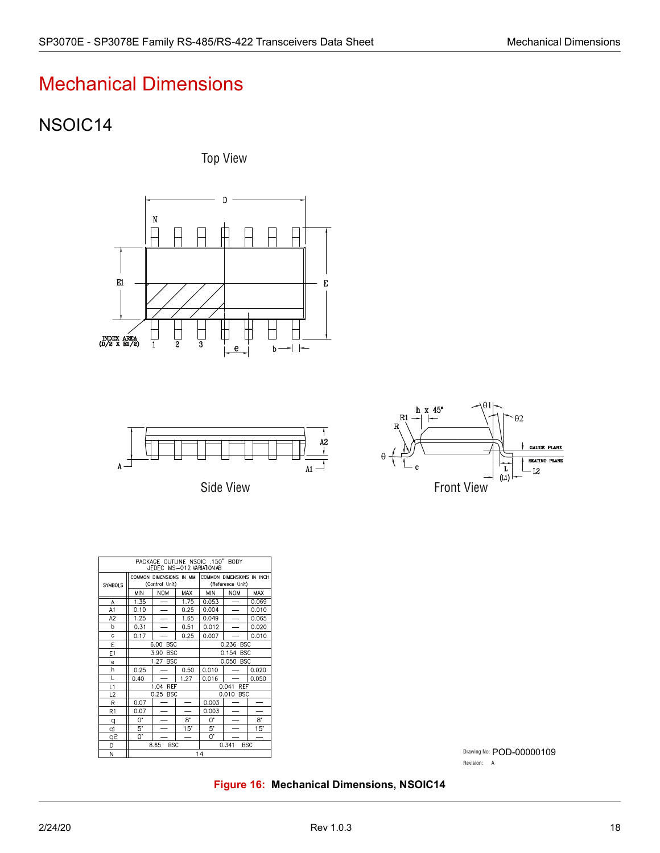# Mechanical Dimensions

## <span id="page-23-0"></span>NSOIC14

Top View





Side View



| PACKAGE OUTLINE NSOIC .150" BODY<br>JEDEC MS-012 VARIATION AB |                                           |                          |            |                                               |                          |       |
|---------------------------------------------------------------|-------------------------------------------|--------------------------|------------|-----------------------------------------------|--------------------------|-------|
| SYMBOLS                                                       | COMMON DIMENSIONS IN MM<br>(Control Unit) |                          |            | COMMON DIMENSIONS IN INCH<br>(Reference Unit) |                          |       |
|                                                               | <b>MIN</b>                                | <b>NOM</b>               | <b>MAX</b> | <b>MIN</b>                                    | <b>NOM</b>               | MAX   |
| A                                                             | 1.35                                      |                          | 1.75       | 0.053                                         |                          | 0.069 |
| A1                                                            | 0.10                                      | $\overline{\phantom{0}}$ | 0.25       | 0.004                                         | $\overline{\phantom{0}}$ | 0.010 |
| A <sub>2</sub>                                                | 1.25                                      |                          | 1.65       | 0.049                                         |                          | 0.065 |
| b                                                             | 0.31                                      |                          | 0.51       | 0.012                                         |                          | 0.020 |
| Ċ                                                             | 0.17                                      |                          | 0.25       | 0.007                                         |                          | 0.010 |
| E                                                             | <b>BSC</b><br>6.00                        |                          |            | 0.236 BSC                                     |                          |       |
| E1                                                            | <b>BSC</b><br>3.90                        |                          |            | 0.154 BSC                                     |                          |       |
| e                                                             | 1.27 BSC                                  |                          |            | 0.050 BSC                                     |                          |       |
| h                                                             | 0.25                                      |                          | 0.50       | 0.010                                         |                          | 0.020 |
| L                                                             | 0.40                                      |                          | 1.27       | 0.016                                         |                          | 0.050 |
| L1                                                            | 1.04 REF                                  |                          |            | 0.041<br>REF                                  |                          |       |
| L2                                                            | 0.25 BSC                                  |                          |            | 0.010 BSC                                     |                          |       |
| R                                                             | 0.07                                      |                          |            | 0.003                                         |                          |       |
| R <sub>1</sub>                                                | 0.07                                      |                          |            | 0.003                                         |                          |       |
| q                                                             | 0.                                        |                          | 8.         | ω.                                            |                          | 8.    |
| d                                                             | $5*$                                      |                          | $15^\circ$ | $5^{\circ}$                                   |                          | 15"   |
| q2                                                            | 0.                                        |                          |            | 0.                                            |                          |       |
| D                                                             | <b>BSC</b><br>8.65                        |                          |            | 0.341<br>BSC                                  |                          |       |
| N                                                             | 14                                        |                          |            |                                               |                          |       |

Drawing No: POD-00000109 Revision: A

<span id="page-23-1"></span>**Figure 16: Mechanical Dimensions, NSOIC14**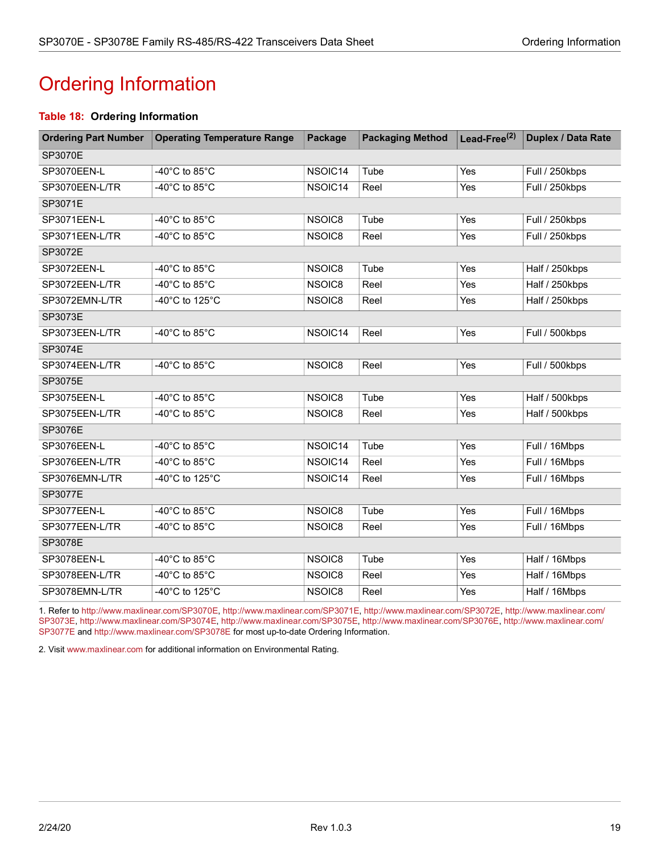# <span id="page-24-1"></span><span id="page-24-0"></span>Ordering Information

#### **Table 18: Ordering Information**

| <b>Ordering Part Number</b> | <b>Operating Temperature Range</b>   | Package | <b>Packaging Method</b> | Lead-Free $^{(2)}$ | Duplex / Data Rate |  |  |
|-----------------------------|--------------------------------------|---------|-------------------------|--------------------|--------------------|--|--|
| SP3070E                     |                                      |         |                         |                    |                    |  |  |
| SP3070EEN-L                 | -40 $^{\circ}$ C to 85 $^{\circ}$ C  | NSOIC14 | Tube                    | Yes                | Full / 250kbps     |  |  |
| SP3070EEN-L/TR              | -40 $^{\circ}$ C to 85 $^{\circ}$ C  | NSOIC14 | Reel                    | Yes                | Full / 250kbps     |  |  |
| SP3071E                     |                                      |         |                         |                    |                    |  |  |
| SP3071EEN-L                 | -40°C to 85°C                        | NSOIC8  | Tube                    | Yes                | Full / 250kbps     |  |  |
| SP3071EEN-L/TR              | -40 $^{\circ}$ C to 85 $^{\circ}$ C  | NSOIC8  | Reel                    | Yes                | Full / 250kbps     |  |  |
| SP3072E                     |                                      |         |                         |                    |                    |  |  |
| SP3072EEN-L                 | -40 $^{\circ}$ C to 85 $^{\circ}$ C  | NSOIC8  | Tube                    | Yes                | Half / 250kbps     |  |  |
| SP3072EEN-L/TR              | -40°C to 85°C                        | NSOIC8  | Reel                    | Yes                | Half / 250kbps     |  |  |
| SP3072EMN-L/TR              | -40°C to 125°C                       | NSOIC8  | Reel                    | Yes                | Half / 250kbps     |  |  |
| SP3073E                     |                                      |         |                         |                    |                    |  |  |
| SP3073EEN-L/TR              | -40 $^{\circ}$ C to 85 $^{\circ}$ C  | NSOIC14 | Reel                    | Yes                | Full / 500kbps     |  |  |
| SP3074E                     |                                      |         |                         |                    |                    |  |  |
| SP3074EEN-L/TR              | -40 $^{\circ}$ C to 85 $^{\circ}$ C  | NSOIC8  | Reel                    | Yes                | Full / 500kbps     |  |  |
| SP3075E                     |                                      |         |                         |                    |                    |  |  |
| SP3075EEN-L                 | -40 $^{\circ}$ C to 85 $^{\circ}$ C  | NSOIC8  | Tube                    | Yes                | Half / 500kbps     |  |  |
| SP3075EEN-L/TR              | -40°C to 85°C                        | NSOIC8  | Reel                    | Yes                | Half / 500kbps     |  |  |
| SP3076E                     |                                      |         |                         |                    |                    |  |  |
| SP3076EEN-L                 | -40°C to 85°C                        | NSOIC14 | Tube                    | Yes                | Full / 16Mbps      |  |  |
| SP3076EEN-L/TR              | -40°C to 85°C                        | NSOIC14 | Reel                    | Yes                | Full / 16Mbps      |  |  |
| SP3076EMN-L/TR              | -40°C to 125°C                       | NSOIC14 | Reel                    | Yes                | Full / 16Mbps      |  |  |
| SP3077E                     |                                      |         |                         |                    |                    |  |  |
| SP3077EEN-L                 | -40°C to 85°C                        | NSOIC8  | Tube                    | Yes                | Full / 16Mbps      |  |  |
| SP3077EEN-L/TR              | -40 $^{\circ}$ C to 85 $^{\circ}$ C  | NSOIC8  | Reel                    | Yes                | Full / 16Mbps      |  |  |
| SP3078E                     |                                      |         |                         |                    |                    |  |  |
| SP3078EEN-L                 | -40 $^{\circ}$ C to 85 $^{\circ}$ C  | NSOIC8  | Tube                    | Yes                | Half / 16Mbps      |  |  |
| SP3078EEN-L/TR              | -40°C to 85°C                        | NSOIC8  | Reel                    | Yes                | Half / 16Mbps      |  |  |
| SP3078EMN-L/TR              | -40 $^{\circ}$ C to 125 $^{\circ}$ C | NSOIC8  | Reel                    | Yes                | Half / 16Mbps      |  |  |

1. Refer to <http://www.maxlinear.com/SP3070E>, <http://www.maxlinear.com/SP3071E>, <http://www.maxlinear.com/SP3072E>,[http://www.maxlinear.com/](http://www.maxlinear.com/SP3073E) [SP3073E,](http://www.maxlinear.com/SP3073E)[http://www.maxlinear.com/SP3074E,](http://www.maxlinear.com/SP3074E)[http://www.maxlinear.com/SP3075E,](http://www.maxlinear.com/SP3075E)<http://www.maxlinear.com/SP3076E>, [http://www.maxlinear.com/](http://www.maxlinear.com/SP3077E) [SP3077E](http://www.maxlinear.com/SP3077E) and <http://www.maxlinear.com/SP3078E> for most up-to-date Ordering Information.

2. Visit[www.maxlinear.com](http://www.maxlinear.com) for additional information on Environmental Rating.